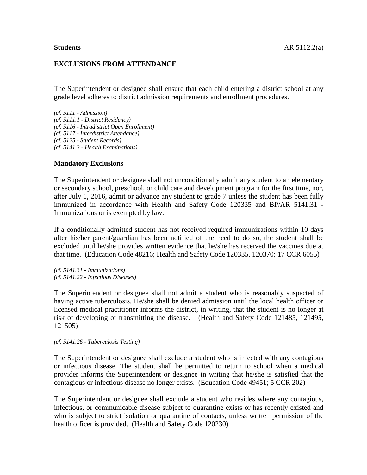### **EXCLUSIONS FROM ATTENDANCE**

The Superintendent or designee shall ensure that each child entering a district school at any grade level adheres to district admission requirements and enrollment procedures.

*(cf. 5111 - Admission) (cf. 5111.1 - District Residency) (cf. 5116 - Intradistrict Open Enrollment) (cf. 5117 - Interdistrict Attendance) (cf. 5125 - Student Records) (cf. 5141.3 - Health Examinations)*

## **Mandatory Exclusions**

The Superintendent or designee shall not unconditionally admit any student to an elementary or secondary school, preschool, or child care and development program for the first time, nor, after July 1, 2016, admit or advance any student to grade 7 unless the student has been fully immunized in accordance with Health and Safety Code 120335 and BP/AR 5141.31 - Immunizations or is exempted by law.

If a conditionally admitted student has not received required immunizations within 10 days after his/her parent/guardian has been notified of the need to do so, the student shall be excluded until he/she provides written evidence that he/she has received the vaccines due at that time. (Education Code 48216; Health and Safety Code 120335, 120370; 17 CCR 6055)

*(cf. 5141.31 - Immunizations) (cf. 5141.22 - Infectious Diseases)*

The Superintendent or designee shall not admit a student who is reasonably suspected of having active tuberculosis. He/she shall be denied admission until the local health officer or licensed medical practitioner informs the district, in writing, that the student is no longer at risk of developing or transmitting the disease. (Health and Safety Code 121485, 121495, 121505)

*(cf. 5141.26 - Tuberculosis Testing)*

The Superintendent or designee shall exclude a student who is infected with any contagious or infectious disease. The student shall be permitted to return to school when a medical provider informs the Superintendent or designee in writing that he/she is satisfied that the contagious or infectious disease no longer exists. (Education Code 49451; 5 CCR 202)

The Superintendent or designee shall exclude a student who resides where any contagious, infectious, or communicable disease subject to quarantine exists or has recently existed and who is subject to strict isolation or quarantine of contacts, unless written permission of the health officer is provided. (Health and Safety Code 120230)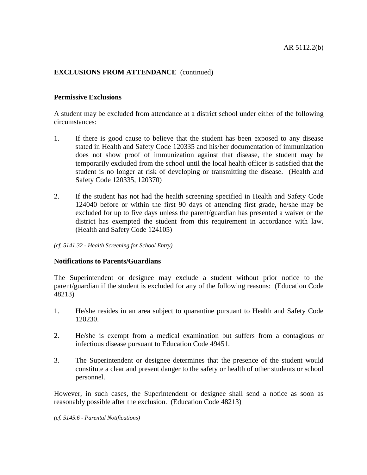# **EXCLUSIONS FROM ATTENDANCE** (continued)

## **Permissive Exclusions**

A student may be excluded from attendance at a district school under either of the following circumstances:

- 1. If there is good cause to believe that the student has been exposed to any disease stated in Health and Safety Code 120335 and his/her documentation of immunization does not show proof of immunization against that disease, the student may be temporarily excluded from the school until the local health officer is satisfied that the student is no longer at risk of developing or transmitting the disease. (Health and Safety Code 120335, 120370)
- 2. If the student has not had the health screening specified in Health and Safety Code 124040 before or within the first 90 days of attending first grade, he/she may be excluded for up to five days unless the parent/guardian has presented a waiver or the district has exempted the student from this requirement in accordance with law. (Health and Safety Code 124105)

*(cf. 5141.32 - Health Screening for School Entry)*

### **Notifications to Parents/Guardians**

The Superintendent or designee may exclude a student without prior notice to the parent/guardian if the student is excluded for any of the following reasons: (Education Code 48213)

- 1. He/she resides in an area subject to quarantine pursuant to Health and Safety Code 120230.
- 2. He/she is exempt from a medical examination but suffers from a contagious or infectious disease pursuant to Education Code 49451.
- 3. The Superintendent or designee determines that the presence of the student would constitute a clear and present danger to the safety or health of other students or school personnel.

However, in such cases, the Superintendent or designee shall send a notice as soon as reasonably possible after the exclusion. (Education Code 48213)

*(cf. 5145.6 - Parental Notifications)*